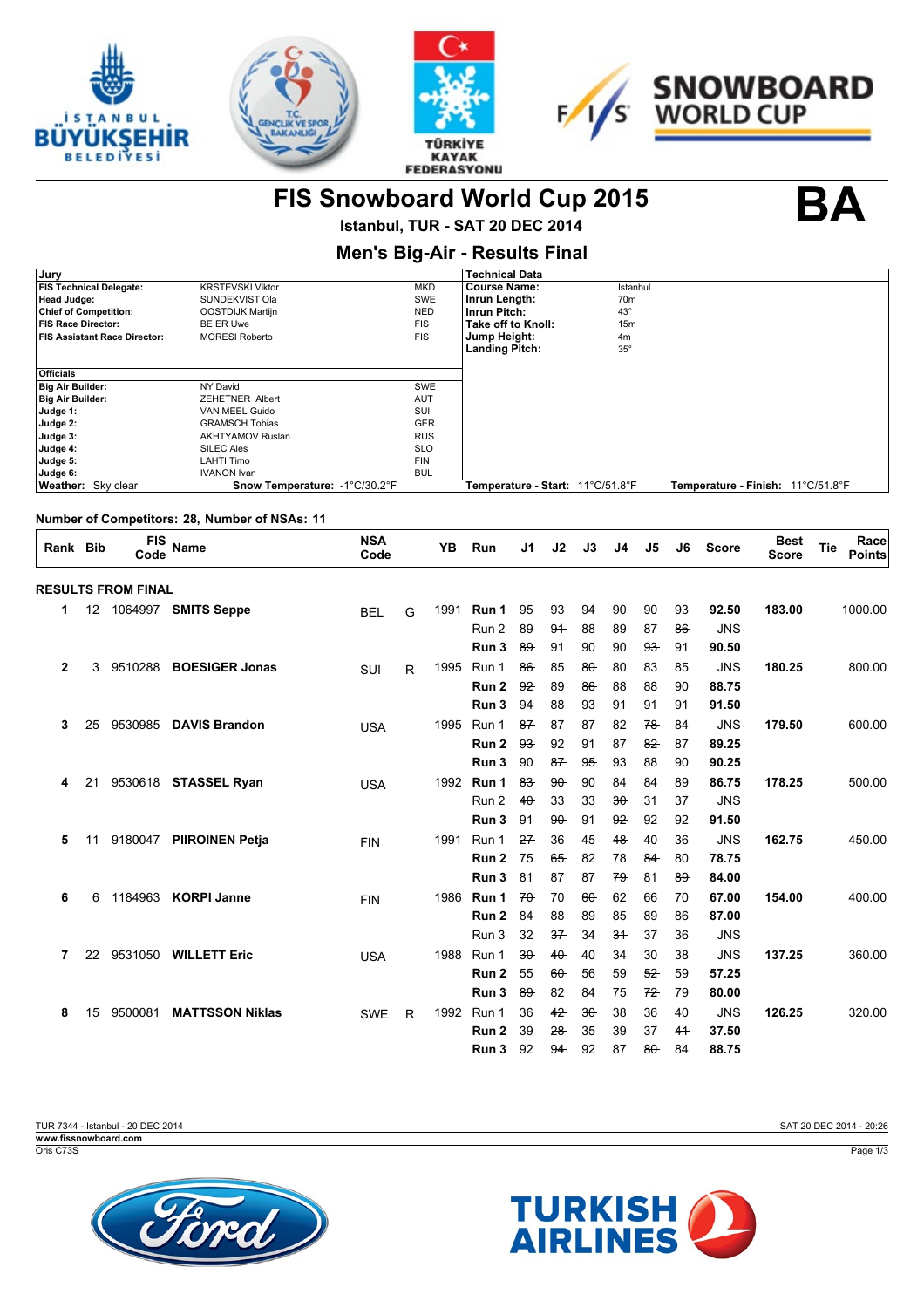







**FIS Snowboard World Cup 2015 BA**

**Istanbul, TUR - SAT 20 DEC 2014**

| <b>Men's Big-Air - Results Final</b> |                               |            |                                  |                 |                                     |  |  |  |  |  |  |
|--------------------------------------|-------------------------------|------------|----------------------------------|-----------------|-------------------------------------|--|--|--|--|--|--|
| Jury                                 |                               |            | <b>Technical Data</b>            |                 |                                     |  |  |  |  |  |  |
| <b>FIS Technical Delegate:</b>       | <b>KRSTEVSKI Viktor</b>       | <b>MKD</b> | <b>Course Name:</b>              | Istanbul        |                                     |  |  |  |  |  |  |
| Head Judge:                          | SUNDEKVIST Ola                | <b>SWE</b> | Inrun Length:                    | 70 <sub>m</sub> |                                     |  |  |  |  |  |  |
| <b>Chief of Competition:</b>         | OOSTDIJK Martijn              | <b>NED</b> | Inrun Pitch:                     | $43^\circ$      |                                     |  |  |  |  |  |  |
| <b>FIS Race Director:</b>            | <b>BEIER Uwe</b>              | <b>FIS</b> | Take off to Knoll:               | 15m             |                                     |  |  |  |  |  |  |
| <b>FIS Assistant Race Director:</b>  | <b>MORESI Roberto</b>         | <b>FIS</b> | Jump Height:                     | 4m              |                                     |  |  |  |  |  |  |
|                                      |                               |            | <b>Landing Pitch:</b>            | $35^{\circ}$    |                                     |  |  |  |  |  |  |
|                                      |                               |            |                                  |                 |                                     |  |  |  |  |  |  |
| <b>Officials</b>                     |                               |            |                                  |                 |                                     |  |  |  |  |  |  |
| <b>Big Air Builder:</b>              | NY David                      | <b>SWE</b> |                                  |                 |                                     |  |  |  |  |  |  |
| <b>Big Air Builder:</b>              | <b>ZEHETNER Albert</b>        | <b>AUT</b> |                                  |                 |                                     |  |  |  |  |  |  |
| Judge 1:                             | VAN MEEL Guido                | SUI        |                                  |                 |                                     |  |  |  |  |  |  |
| Judge 2:                             | <b>GRAMSCH Tobias</b>         | <b>GER</b> |                                  |                 |                                     |  |  |  |  |  |  |
| Judge 3:                             | <b>AKHTYAMOV Ruslan</b>       | <b>RUS</b> |                                  |                 |                                     |  |  |  |  |  |  |
| Judge 4:                             | SILEC Ales                    | <b>SLO</b> |                                  |                 |                                     |  |  |  |  |  |  |
| Judge 5:                             | <b>LAHTI Timo</b>             | <b>FIN</b> |                                  |                 |                                     |  |  |  |  |  |  |
| Judge 6:                             | <b>IVANON Ivan</b>            | <b>BUL</b> |                                  |                 |                                     |  |  |  |  |  |  |
| Weather: Sky clear                   | Snow Temperature: -1°C/30.2°F |            | Temperature - Start: 11°C/51.8°F |                 | Temperature - Finish:   11°C/51.8°F |  |  |  |  |  |  |
|                                      |                               |            |                                  |                 |                                     |  |  |  |  |  |  |

### **Number of Competitors: 28, Number of NSAs: 11**

| Rank Bib     |    | <b>FIS</b><br>Code        | Name                   | <b>NSA</b><br>Code |              | YB   | Run              | J1     | J2     | J3     | J <sub>4</sub> | J <sub>5</sub> | J6             | <b>Score</b> | <b>Best</b><br><b>Score</b> | Tie | Race<br><b>Points</b> |
|--------------|----|---------------------------|------------------------|--------------------|--------------|------|------------------|--------|--------|--------|----------------|----------------|----------------|--------------|-----------------------------|-----|-----------------------|
|              |    | <b>RESULTS FROM FINAL</b> |                        |                    |              |      |                  |        |        |        |                |                |                |              |                             |     |                       |
| 1            | 12 |                           | 1064997 SMITS Seppe    | <b>BEL</b>         | G            | 1991 | Run 1            | $95 -$ | 93     | 94     | $90 -$         | 90             | 93             | 92.50        | 183.00                      |     | 1000.00               |
|              |    |                           |                        |                    |              |      | Run 2            | 89     | 94     | 88     | 89             | 87             | $86 -$         | <b>JNS</b>   |                             |     |                       |
|              |    |                           |                        |                    |              |      | Run 3            | 89     | 91     | 90     | 90             | $93 -$         | 91             | 90.50        |                             |     |                       |
| $\mathbf{2}$ | 3  | 9510288                   | <b>BOESIGER Jonas</b>  | SUI                | R            | 1995 | Run 1            | $86 -$ | 85     | $80 -$ | 80             | 83             | 85             | <b>JNS</b>   | 180.25                      |     | 800.00                |
|              |    |                           |                        |                    |              |      | Run 2            | 92     | 89     | $86 -$ | 88             | 88             | 90             | 88.75        |                             |     |                       |
|              |    |                           |                        |                    |              |      | Run 3            | 94     | 88     | 93     | 91             | 91             | 91             | 91.50        |                             |     |                       |
| 3            | 25 | 9530985                   | <b>DAVIS Brandon</b>   | <b>USA</b>         |              | 1995 | Run 1            | 87     | 87     | 87     | 82             | 78             | 84             | <b>JNS</b>   | 179.50                      |     | 600.00                |
|              |    |                           |                        |                    |              |      | Run 2            | 93     | 92     | 91     | 87             | 82             | 87             | 89.25        |                             |     |                       |
|              |    |                           |                        |                    |              |      | Run 3            | 90     | 87     | 95     | 93             | 88             | 90             | 90.25        |                             |     |                       |
| 4            | 21 |                           | 9530618 STASSEL Ryan   | <b>USA</b>         |              | 1992 | Run 1            | 83     | $90 -$ | 90     | 84             | 84             | 89             | 86.75        | 178.25                      |     | 500.00                |
|              |    |                           |                        |                    |              |      | Run 2            | $40 -$ | 33     | 33     | $30 -$         | 31             | 37             | <b>JNS</b>   |                             |     |                       |
|              |    |                           |                        |                    |              |      | Run 3            | 91     | $90 -$ | 91     | 92             | 92             | 92             | 91.50        |                             |     |                       |
| 5            | 11 | 9180047                   | <b>PIIROINEN Petja</b> | <b>FIN</b>         |              | 1991 | Run 1            | 27     | 36     | 45     | 48             | 40             | 36             | <b>JNS</b>   | 162.75                      |     | 450.00                |
|              |    |                           |                        |                    |              |      | Run 2            | 75     | 65     | 82     | 78             | 84             | 80             | 78.75        |                             |     |                       |
|              |    |                           |                        |                    |              |      | Run 3            | 81     | 87     | 87     | 79             | 81             | 89             | 84.00        |                             |     |                       |
| 6            | 6  | 1184963                   | <b>KORPI Janne</b>     | <b>FIN</b>         |              | 1986 | Run 1            | $70 -$ | 70     | $60 -$ | 62             | 66             | 70             | 67.00        | 154.00                      |     | 400.00                |
|              |    |                           |                        |                    |              |      | Run 2            | 84     | 88     | $89 -$ | 85             | 89             | 86             | 87.00        |                             |     |                       |
|              |    |                           |                        |                    |              |      | Run 3            | 32     | 37     | 34     | 3 <sup>4</sup> | 37             | 36             | <b>JNS</b>   |                             |     |                       |
| 7            | 22 | 9531050                   | <b>WILLETT Eric</b>    | <b>USA</b>         |              | 1988 | Run 1            | $30 -$ | 40     | 40     | 34             | 30             | 38             | <b>JNS</b>   | 137.25                      |     | 360.00                |
|              |    |                           |                        |                    |              |      | Run <sub>2</sub> | 55     | $60 -$ | 56     | 59             | 52             | 59             | 57.25        |                             |     |                       |
|              |    |                           |                        |                    |              |      | Run 3            | 89     | 82     | 84     | 75             | 72             | 79             | 80.00        |                             |     |                       |
| 8            | 15 | 9500081                   | <b>MATTSSON Niklas</b> | <b>SWE</b>         | $\mathsf{R}$ | 1992 | Run 1            | 36     | 42     | $30 -$ | 38             | 36             | 40             | <b>JNS</b>   | 126.25                      |     | 320.00                |
|              |    |                           |                        |                    |              |      | Run 2            | 39     | 28     | 35     | 39             | 37             | 4 <sup>4</sup> | 37.50        |                             |     |                       |
|              |    |                           |                        |                    |              |      | Run 3            | 92     | 94     | 92     | 87             | $80 -$         | 84             | 88.75        |                             |     |                       |





SAT 20 DEC 2014 - 20:26

Page 1/3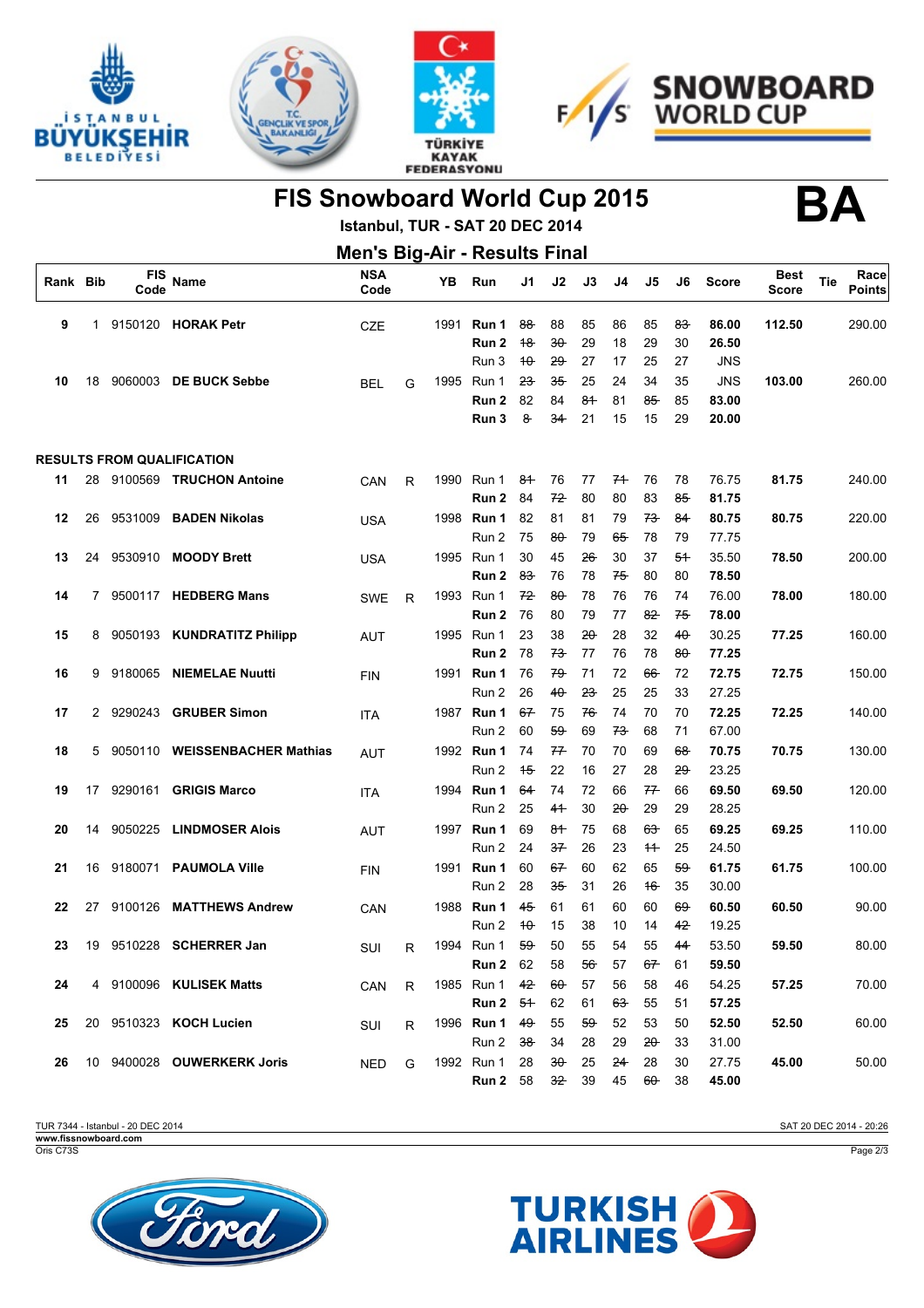







FIS Snowboard World Cup 2015<br> **BA** 

**Istanbul, TUR - SAT 20 DEC 2014**

| <b>Men's Big-Air - Results Final</b> |              |             |                                   |                    |              |      |                      |                |               |                   |          |               |                |                |                             |     |                       |
|--------------------------------------|--------------|-------------|-----------------------------------|--------------------|--------------|------|----------------------|----------------|---------------|-------------------|----------|---------------|----------------|----------------|-----------------------------|-----|-----------------------|
| Rank Bib                             |              | FIS<br>Code | Name                              | <b>NSA</b><br>Code |              | YΒ   | Run                  | J1             | J2            | J3                | J4       | J5            | J6             | <b>Score</b>   | <b>Best</b><br><b>Score</b> | Tie | Race<br><b>Points</b> |
| 9                                    | $\mathbf{1}$ |             | 9150120 HORAK Petr                | <b>CZE</b>         |              | 1991 | Run 1<br>Run 2       | $88 -$<br>18   | 88<br>$30 -$  | 85<br>29          | 86<br>18 | 85<br>29      | 83<br>30       | 86.00<br>26.50 | 112.50                      |     | 290.00                |
|                                      |              |             |                                   |                    |              |      | Run 3                | $\theta$       | <del>29</del> | 27                | 17       | 25            | 27             | JNS            |                             |     |                       |
| 10                                   | 18           |             | 9060003 DE BUCK Sebbe             | <b>BEL</b>         | G            | 1995 | Run 1                | 23             | 35            | 25                | 24       | 34            | 35             | <b>JNS</b>     | 103.00                      |     | 260.00                |
|                                      |              |             |                                   |                    |              |      | Run 2                | 82             | 84            | 84                | 81       | 85            | 85             | 83.00          |                             |     |                       |
|                                      |              |             |                                   |                    |              |      | Run 3                | 8              | 34            | 21                | 15       | 15            | 29             | 20.00          |                             |     |                       |
|                                      |              |             | <b>RESULTS FROM QUALIFICATION</b> |                    |              |      |                      |                |               |                   |          |               |                |                |                             |     |                       |
| 11                                   | 28           |             | 9100569 TRUCHON Antoine           | CAN                | R            |      | 1990 Run 1           | 84             | 76            | 77                | 74       | 76            | 78             | 76.75          | 81.75                       |     | 240.00                |
|                                      |              |             |                                   |                    |              |      | Run 2                | 84             | 72            | 80                | 80       | 83            | 85             | 81.75          |                             |     |                       |
| 12                                   | 26           | 9531009     | <b>BADEN Nikolas</b>              | <b>USA</b>         |              |      | 1998 Run 1           | 82             | 81            | 81                | 79       | 73            | 84             | 80.75          | 80.75                       |     | 220.00                |
|                                      |              |             |                                   |                    |              |      | Run 2                | 75             | $80 -$        | 79                | 65       | 78            | 79             | 77.75          |                             |     |                       |
| 13                                   | 24           | 9530910     | <b>MOODY Brett</b>                | <b>USA</b>         |              |      | 1995 Run 1           | 30             | 45            | $26 -$            | 30       | 37            | 54             | 35.50          | 78.50                       |     | 200.00                |
|                                      |              |             |                                   |                    |              |      | Run 2                | 8 <del>3</del> | 76            | 78                | 75       | 80            | 80             | 78.50          |                             |     |                       |
| 14                                   | 7.           |             | 9500117 HEDBERG Mans              | <b>SWE</b>         | R            | 1993 | Run 1                | 72             | $80 -$        | 78                | 76       | 76            | 74             | 76.00          | 78.00                       |     | 180.00                |
|                                      |              |             |                                   |                    |              |      | Run 2                | 76             | 80            | 79                | 77       | 82            | 75             | 78.00          |                             |     |                       |
| 15                                   | 8            |             | 9050193 KUNDRATITZ Philipp        | AUT                |              |      | 1995 Run 1           | 23             | 38            | $20 -$            | 28       | 32            | 40             | 30.25          | 77.25                       |     | 160.00                |
|                                      |              |             |                                   |                    |              |      | Run 2                | 78             | 73            | 77                | 76       | 78            | 80-            | 77.25          |                             |     |                       |
| 16                                   | 9            | 9180065     | <b>NIEMELAE Nuutti</b>            | <b>FIN</b>         |              |      | 1991 <b>Run 1</b>    | 76             | 79            | 71                | 72       | 66            | 72             | 72.75          | 72.75                       |     | 150.00                |
|                                      |              |             |                                   |                    |              |      | Run 2                | 26             | 40            | <del>23</del>     | 25       | 25            | 33             | 27.25          |                             |     |                       |
| 17                                   | 2            | 9290243     | <b>GRUBER Simon</b>               | <b>ITA</b>         |              |      | 1987 <b>Run 1</b>    | 67             | 75            | 76                | 74       | 70            | 70             | 72.25          | 72.25                       |     | 140.00                |
|                                      |              |             |                                   |                    |              |      | Run 2                | 60             | 59            | 69                | 73       | 68            | 71             | 67.00          |                             |     |                       |
| 18                                   | 5            | 9050110     | <b>WEISSENBACHER Mathias</b>      | <b>AUT</b>         |              |      | 1992 Run 1           | 74             | 77            | 70                | 70       | 69            | <del>68</del>  | 70.75          | 70.75                       |     | 130.00                |
|                                      |              |             |                                   |                    |              |      | Run 2                | 15             | 22            | 16                | 27       | 28            | 29             | 23.25          |                             |     |                       |
| 19                                   | 17           | 9290161     | <b>GRIGIS Marco</b>               | <b>ITA</b>         |              |      | 1994 <b>Run 1</b>    | 64             | 74            | 72                | 66       | 77            | 66             | 69.50          | 69.50                       |     | 120.00                |
|                                      |              |             |                                   |                    |              |      | Run 2                | 25             | 41            | 30                | 20       | 29            | 29             | 28.25          |                             |     |                       |
| 20                                   | 14           | 9050225     | <b>LINDMOSER Alois</b>            | <b>AUT</b>         |              |      | 1997 <b>Run 1</b>    | 69             | 84            | 75                | 68       | <del>63</del> | 65             | 69.25          | 69.25                       |     | 110.00                |
|                                      |              |             |                                   |                    |              |      | Run 2                | 24             | 37            | 26                | 23       | 11            | 25             | 24.50          |                             |     |                       |
| 21                                   | 16           | 9180071     | <b>PAUMOLA Ville</b>              | <b>FIN</b>         |              |      | 1991 <b>Run 1</b>    | 60             | 67            | 60                | 62       | 65            | 59             | 61.75          | 61.75                       |     | 100.00                |
|                                      |              |             |                                   |                    |              |      | Run 2                | 28             | 35            | 31                | 26       | 16            | 35             | 30.00          |                             |     |                       |
| 22                                   | 27           | 9100126     | <b>MATTHEWS Andrew</b>            | CAN                |              |      | 1988 <b>Run 1</b>    | 45             | 61            | 61                | 60       | 60            | 69             | 60.50          | 60.50                       |     | 90.00                 |
|                                      |              |             |                                   |                    |              |      | Run 2                | $\theta$       | 15            | 38                | 10       | 14            | 4 <del>2</del> | 19.25          |                             |     |                       |
| 23                                   | 19           |             | 9510228 SCHERRER Jan              | SUI                | R            |      | 1994 Run 1           | 59             | 50            | 55                | 54       | 55            | 44             | 53.50          | 59.50                       |     | 80.00                 |
|                                      |              |             |                                   |                    |              |      | <b>Run 2</b> 62      |                | 58            | 56                | 57       | 67            | 61             | 59.50          |                             |     |                       |
| 24                                   |              |             | 4 9100096 KULISEK Matts           | CAN                | $\mathsf{R}$ |      | 1985 Run 1           | 42             | $60 -$        | 57                | 56       | 58            | 46             | 54.25          | 57.25                       |     | 70.00                 |
|                                      |              |             |                                   |                    |              |      | Run 2 5 <sup>+</sup> |                | 62            | 61                | 63       | 55            | 51             | 57.25          |                             |     |                       |
| 25                                   |              |             | 20 9510323 KOCH Lucien            | SUI                | R            |      | 1996 Run 1 49        |                | 55            | $59 -$            | 52       | 53            | 50             | 52.50          | 52.50                       |     | 60.00                 |
|                                      |              |             |                                   |                    |              |      | Run 2 38             |                | 34            | 28                | 29       | 20            | 33             | 31.00          |                             |     |                       |
| 26                                   |              |             | 10 9400028 OUWERKERK Joris        | <b>NED</b>         | G            |      | 1992 Run 1 28        |                | $30 -$        | 25                | 24       | 28            | 30             | 27.75          | 45.00                       |     | 50.00                 |
|                                      |              |             |                                   |                    |              |      | <b>Run 2</b> 58      |                |               | 3 <del>2</del> 39 | 45       | $60 -$        | 38             | 45.00          |                             |     |                       |

TUR 7344 - Istanbul - 20 DEC 2014 **www.fissnowboard.com**

Oris C73S





Page 2/3

SAT 20 DEC 2014 - 20:26